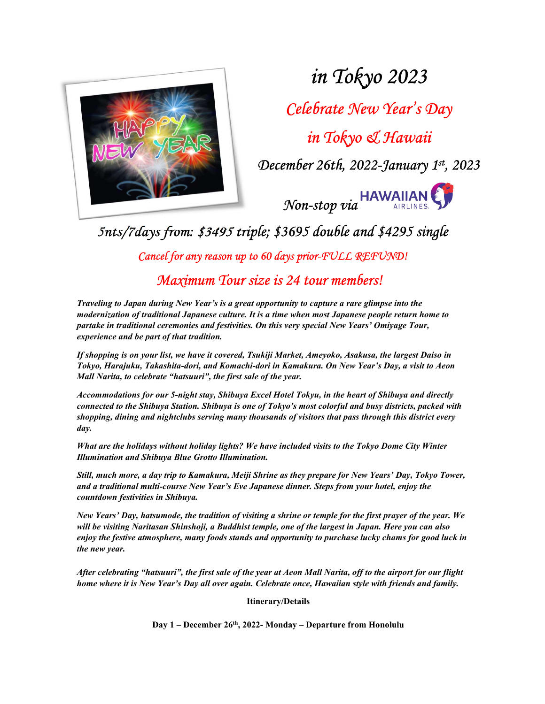

in Tokyo 2023

Celebrate New Year's Day

in Tokyo & Hawaii

December 26th, 2022-January 1st, 2023



5nts/7days from: \$3495 triple; \$3695 double and \$4295 single

Cancel for any reason up to 60 days prior-FULL REFUND!

Maximum Tour size is 24 tour members!

Traveling to Japan during New Year's is a great opportunity to capture a rare glimpse into the modernization of traditional Japanese culture. It is a time when most Japanese people return home to partake in traditional ceremonies and festivities. On this very special New Years' Omiyage Tour, experience and be part of that tradition.

If shopping is on your list, we have it covered, Tsukiji Market, Ameyoko, Asakusa, the largest Daiso in Tokyo, Harajuku, Takashita-dori, and Komachi-dori in Kamakura. On New Year's Day, a visit to Aeon Mall Narita, to celebrate "hatsuuri", the first sale of the year.

Accommodations for our 5-night stay, Shibuya Excel Hotel Tokyu, in the heart of Shibuya and directly connected to the Shibuya Station. Shibuya is one of Tokyo's most colorful and busy districts, packed with shopping, dining and nightclubs serving many thousands of visitors that pass through this district every day.

What are the holidays without holiday lights? We have included visits to the Tokyo Dome City Winter Illumination and Shibuya Blue Grotto Illumination.

Still, much more, a day trip to Kamakura, Meiji Shrine as they prepare for New Years' Day, Tokyo Tower, and a traditional multi-course New Year's Eve Japanese dinner. Steps from your hotel, enjoy the countdown festivities in Shibuya.

New Years' Day, hatsumode, the tradition of visiting a shrine or temple for the first prayer of the year. We will be visiting Naritasan Shinshoji, a Buddhist temple, one of the largest in Japan. Here you can also enjoy the festive atmosphere, many foods stands and opportunity to purchase lucky chams for good luck in the new year.

After celebrating "hatsuuri", the first sale of the year at Aeon Mall Narita, off to the airport for our flight home where it is New Year's Day all over again. Celebrate once, Hawaiian style with friends and family.

Itinerary/Details

Day 1 – December 26th, 2022- Monday – Departure from Honolulu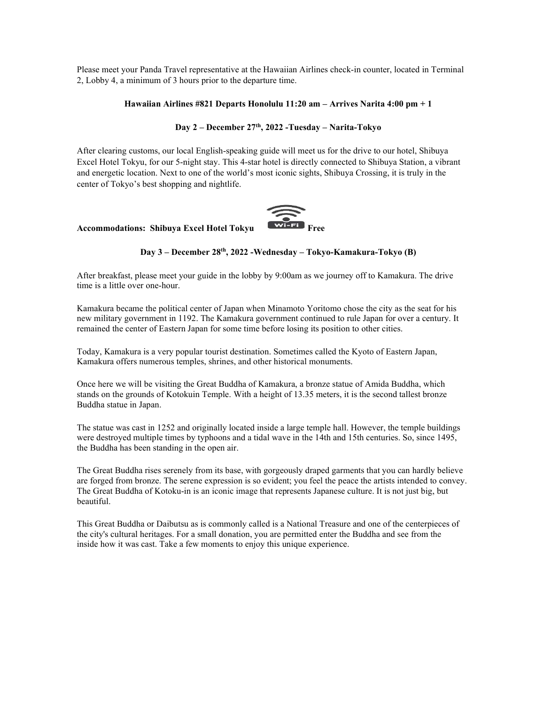Please meet your Panda Travel representative at the Hawaiian Airlines check-in counter, located in Terminal 2, Lobby 4, a minimum of 3 hours prior to the departure time.

### Hawaiian Airlines #821 Departs Honolulu 11:20 am – Arrives Narita 4:00 pm + 1

## Day 2 – December 27th, 2022 -Tuesday – Narita-Tokyo

After clearing customs, our local English-speaking guide will meet us for the drive to our hotel, Shibuya Excel Hotel Tokyu, for our 5-night stay. This 4-star hotel is directly connected to Shibuya Station, a vibrant and energetic location. Next to one of the world's most iconic sights, Shibuya Crossing, it is truly in the center of Tokyo's best shopping and nightlife.



## Accommodations: Shibuya Excel Hotel Tokyu

#### Day 3 – December 28th, 2022 -Wednesday – Tokyo-Kamakura-Tokyo (B)

After breakfast, please meet your guide in the lobby by 9:00am as we journey off to Kamakura. The drive time is a little over one-hour.

Kamakura became the political center of Japan when Minamoto Yoritomo chose the city as the seat for his new military government in 1192. The Kamakura government continued to rule Japan for over a century. It remained the center of Eastern Japan for some time before losing its position to other cities.

Today, Kamakura is a very popular tourist destination. Sometimes called the Kyoto of Eastern Japan, Kamakura offers numerous temples, shrines, and other historical monuments.

Once here we will be visiting the Great Buddha of Kamakura, a bronze statue of Amida Buddha, which stands on the grounds of Kotokuin Temple. With a height of 13.35 meters, it is the second tallest bronze Buddha statue in Japan.

The statue was cast in 1252 and originally located inside a large temple hall. However, the temple buildings were destroyed multiple times by typhoons and a tidal wave in the 14th and 15th centuries. So, since 1495, the Buddha has been standing in the open air.

The Great Buddha rises serenely from its base, with gorgeously draped garments that you can hardly believe are forged from bronze. The serene expression is so evident; you feel the peace the artists intended to convey. The Great Buddha of Kotoku-in is an iconic image that represents Japanese culture. It is not just big, but beautiful.

This Great Buddha or Daibutsu as is commonly called is a National Treasure and one of the centerpieces of the city's cultural heritages. For a small donation, you are permitted enter the Buddha and see from the inside how it was cast. Take a few moments to enjoy this unique experience.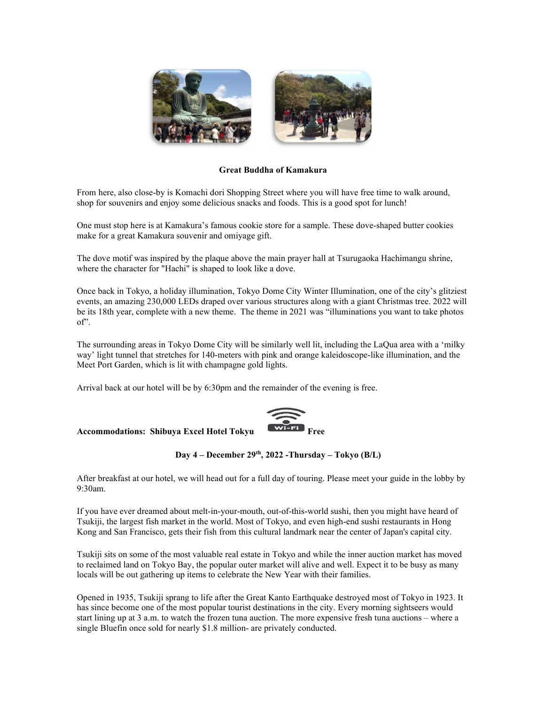

## Great Buddha of Kamakura

From here, also close-by is Komachi dori Shopping Street where you will have free time to walk around, shop for souvenirs and enjoy some delicious snacks and foods. This is a good spot for lunch!

One must stop here is at Kamakura's famous cookie store for a sample. These dove-shaped butter cookies make for a great Kamakura souvenir and omiyage gift.

The dove motif was inspired by the plaque above the main prayer hall at Tsurugaoka Hachimangu shrine, where the character for "Hachi" is shaped to look like a dove.

Once back in Tokyo, a holiday illumination, Tokyo Dome City Winter Illumination, one of the city's glitziest events, an amazing 230,000 LEDs draped over various structures along with a giant Christmas tree. 2022 will be its 18th year, complete with a new theme. The theme in 2021 was "illuminations you want to take photos of".

The surrounding areas in Tokyo Dome City will be similarly well lit, including the LaQua area with a 'milky way' light tunnel that stretches for 140-meters with pink and orange kaleidoscope-like illumination, and the Meet Port Garden, which is lit with champagne gold lights.

Arrival back at our hotel will be by 6:30pm and the remainder of the evening is free.



# Accommodations: Shibuya Excel Hotel Tokyu

After breakfast at our hotel, we will head out for a full day of touring. Please meet your guide in the lobby by 9:30am.

If you have ever dreamed about melt-in-your-mouth, out-of-this-world sushi, then you might have heard of Tsukiji, the largest fish market in the world. Most of Tokyo, and even high-end sushi restaurants in Hong Kong and San Francisco, gets their fish from this cultural landmark near the center of Japan's capital city.

Tsukiji sits on some of the most valuable real estate in Tokyo and while the inner auction market has moved to reclaimed land on Tokyo Bay, the popular outer market will alive and well. Expect it to be busy as many locals will be out gathering up items to celebrate the New Year with their families.

Opened in 1935, Tsukiji sprang to life after the Great Kanto Earthquake destroyed most of Tokyo in 1923. It has since become one of the most popular tourist destinations in the city. Every morning sightseers would start lining up at 3 a.m. to watch the frozen tuna auction. The more expensive fresh tuna auctions – where a single Bluefin once sold for nearly \$1.8 million- are privately conducted.

Day 4 – December 29<sup>th</sup>, 2022 -Thursday – Tokyo (B/L)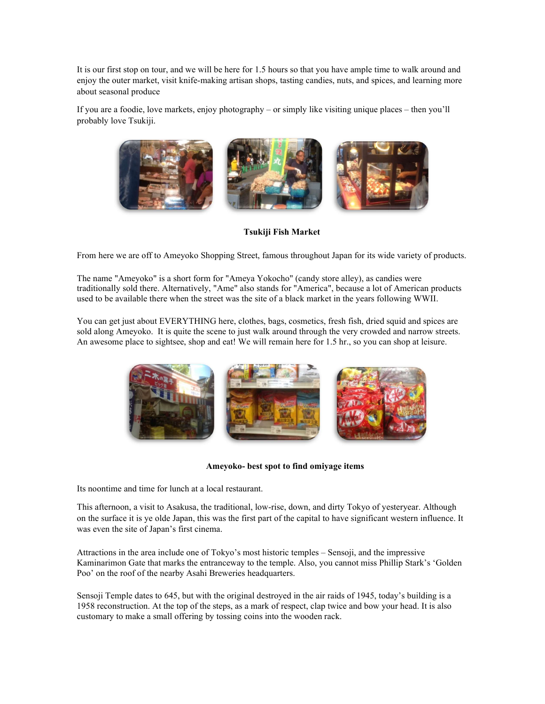It is our first stop on tour, and we will be here for 1.5 hours so that you have ample time to walk around and enjoy the outer market, visit knife-making artisan shops, tasting candies, nuts, and spices, and learning more about seasonal produce

If you are a foodie, love markets, enjoy photography – or simply like visiting unique places – then you'll probably love Tsukiji.



Tsukiji Fish Market

From here we are off to Ameyoko Shopping Street, famous throughout Japan for its wide variety of products.

The name "Ameyoko" is a short form for "Ameya Yokocho" (candy store alley), as candies were traditionally sold there. Alternatively, "Ame" also stands for "America", because a lot of American products used to be available there when the street was the site of a black market in the years following WWII.

You can get just about EVERYTHING here, clothes, bags, cosmetics, fresh fish, dried squid and spices are sold along Ameyoko. It is quite the scene to just walk around through the very crowded and narrow streets. An awesome place to sightsee, shop and eat! We will remain here for 1.5 hr., so you can shop at leisure.



Ameyoko- best spot to find omiyage items

Its noontime and time for lunch at a local restaurant.

This afternoon, a visit to Asakusa, the traditional, low-rise, down, and dirty Tokyo of yesteryear. Although on the surface it is ye olde Japan, this was the first part of the capital to have significant western influence. It was even the site of Japan's first cinema.

Attractions in the area include one of Tokyo's most historic temples – Sensoji, and the impressive Kaminarimon Gate that marks the entranceway to the temple. Also, you cannot miss Phillip Stark's 'Golden Poo' on the roof of the nearby Asahi Breweries headquarters.

Sensoji Temple dates to 645, but with the original destroyed in the air raids of 1945, today's building is a 1958 reconstruction. At the top of the steps, as a mark of respect, clap twice and bow your head. It is also customary to make a small offering by tossing coins into the wooden rack.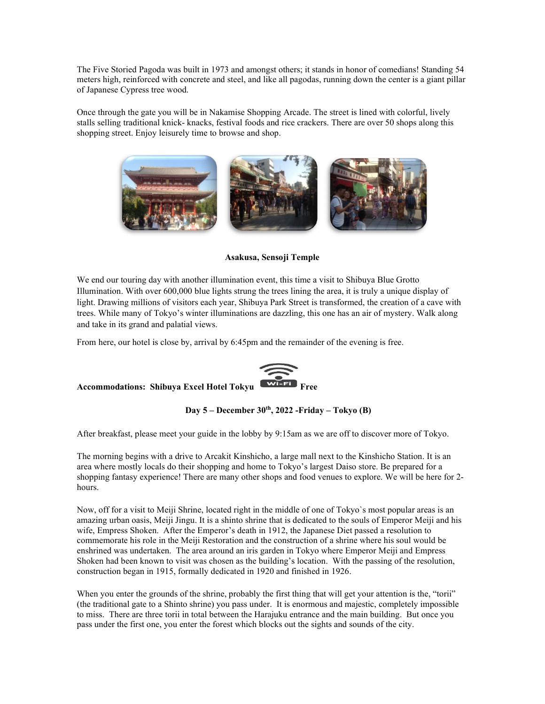The Five Storied Pagoda was built in 1973 and amongst others; it stands in honor of comedians! Standing 54 meters high, reinforced with concrete and steel, and like all pagodas, running down the center is a giant pillar of Japanese Cypress tree wood.

Once through the gate you will be in Nakamise Shopping Arcade. The street is lined with colorful, lively stalls selling traditional knick- knacks, festival foods and rice crackers. There are over 50 shops along this shopping street. Enjoy leisurely time to browse and shop.



Asakusa, Sensoji Temple

We end our touring day with another illumination event, this time a visit to Shibuya Blue Grotto Illumination. With over 600,000 blue lights strung the trees lining the area, it is truly a unique display of light. Drawing millions of visitors each year, Shibuya Park Street is transformed, the creation of a cave with trees. While many of Tokyo's winter illuminations are dazzling, this one has an air of mystery. Walk along and take in its grand and palatial views.

From here, our hotel is close by, arrival by 6:45pm and the remainder of the evening is free.



Day  $5 -$  December  $30<sup>th</sup>$ , 2022 - Friday – Tokyo (B)

After breakfast, please meet your guide in the lobby by 9:15am as we are off to discover more of Tokyo.

The morning begins with a drive to Arcakit Kinshicho, a large mall next to the Kinshicho Station. It is an area where mostly locals do their shopping and home to Tokyo's largest Daiso store. Be prepared for a shopping fantasy experience! There are many other shops and food venues to explore. We will be here for 2 hours.

Now, off for a visit to Meiji Shrine, located right in the middle of one of Tokyo`s most popular areas is an amazing urban oasis, Meiji Jingu. It is a shinto shrine that is dedicated to the souls of Emperor Meiji and his wife, Empress Shoken. After the Emperor's death in 1912, the Japanese Diet passed a resolution to commemorate his role in the Meiji Restoration and the construction of a shrine where his soul would be enshrined was undertaken. The area around an iris garden in Tokyo where Emperor Meiji and Empress Shoken had been known to visit was chosen as the building's location. With the passing of the resolution, construction began in 1915, formally dedicated in 1920 and finished in 1926.

When you enter the grounds of the shrine, probably the first thing that will get your attention is the, "torii" (the traditional gate to a Shinto shrine) you pass under. It is enormous and majestic, completely impossible to miss. There are three torii in total between the Harajuku entrance and the main building. But once you pass under the first one, you enter the forest which blocks out the sights and sounds of the city.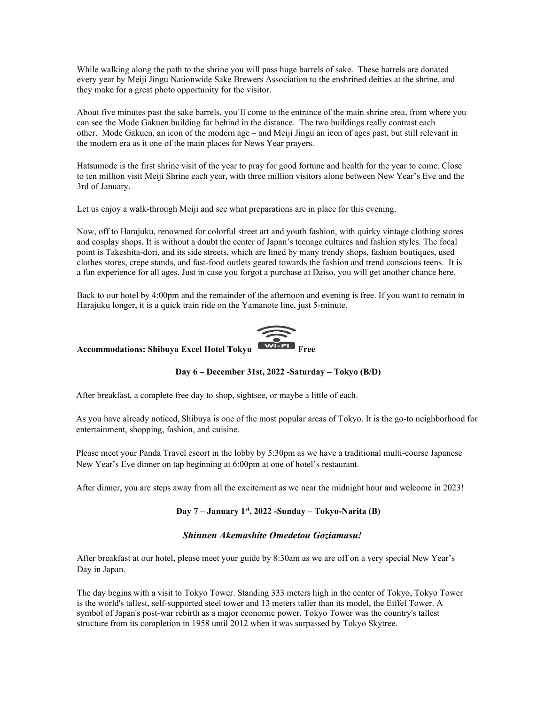While walking along the path to the shrine you will pass huge barrels of sake. These barrels are donated every year by Meiji Jingu Nationwide Sake Brewers Association to the enshrined deities at the shrine, and they make for a great photo opportunity for the visitor.

About five minutes past the sake barrels, you`ll come to the entrance of the main shrine area, from where you can see the Mode Gakuen building far behind in the distance. The two buildings really contrast each other. Mode Gakuen, an icon of the modern age – and Meiji Jingu an icon of ages past, but still relevant in the modern era as it one of the main places for News Year prayers.

Hatsumode is the first shrine visit of the year to pray for good fortune and health for the year to come. Close to ten million visit Meiji Shrine each year, with three million visitors alone between New Year's Eve and the 3rd of January.

Let us enjoy a walk-through Meiji and see what preparations are in place for this evening.

Now, off to Harajuku, renowned for colorful street art and youth fashion, with quirky vintage clothing stores and cosplay shops. It is without a doubt the center of Japan's teenage cultures and fashion styles. The focal point is Takeshita-dori, and its side streets, which are lined by many trendy shops, fashion boutiques, used clothes stores, crepe stands, and fast-food outlets geared towards the fashion and trend conscious teens. It is a fun experience for all ages. Just in case you forgot a purchase at Daiso, you will get another chance here.

Back to our hotel by 4:00pm and the remainder of the afternoon and evening is free. If you want to remain in Harajuku longer, it is a quick train ride on the Yamanote line, just 5-minute.



# Accommodations: Shibuya Excel Hotel Tokyu

## Day 6 – December 31st, 2022 -Saturday – Tokyo (B/D)

After breakfast, a complete free day to shop, sightsee, or maybe a little of each.

As you have already noticed, Shibuya is one of the most popular areas of Tokyo. It is the go-to neighborhood for entertainment, shopping, fashion, and cuisine.

Please meet your Panda Travel escort in the lobby by 5:30pm as we have a traditional multi-course Japanese New Year's Eve dinner on tap beginning at 6:00pm at one of hotel's restaurant.

After dinner, you are steps away from all the excitement as we near the midnight hour and welcome in 2023!

## Day 7 – January 1st, 2022 -Sunday – Tokyo-Narita (B)

## Shinnen Akemashite Omedetou Goziamasu!

After breakfast at our hotel, please meet your guide by 8:30am as we are off on a very special New Year's Day in Japan.

The day begins with a visit to Tokyo Tower. Standing 333 meters high in the center of Tokyo, Tokyo Tower is the world's tallest, self-supported steel tower and 13 meters taller than its model, the Eiffel Tower. A symbol of Japan's post-war rebirth as a major economic power, Tokyo Tower was the country's tallest structure from its completion in 1958 until 2012 when it was surpassed by Tokyo Skytree.